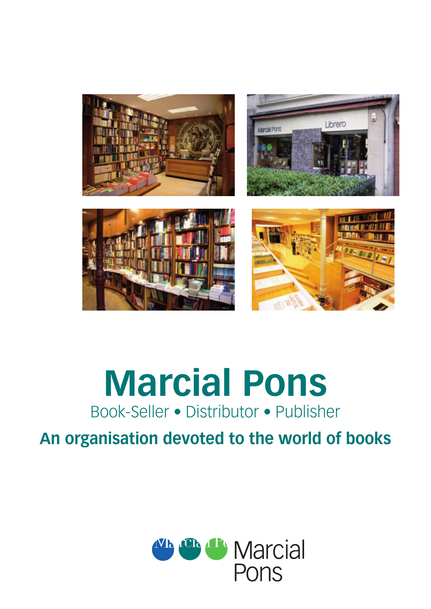







# **Marcial Pons**

### Book-Seller • Distributor • Publisher

## **An organisation devoted to the world of books**

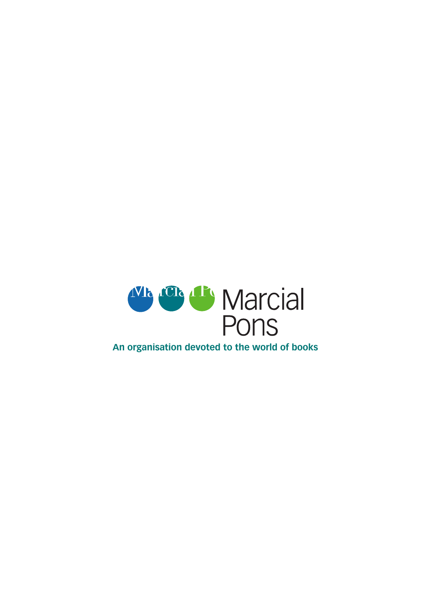

**An organisation devoted to the world of books**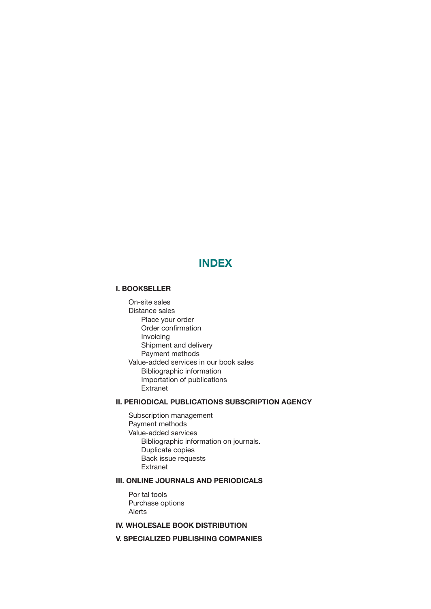#### **INDEX**

#### **I. BOOKSELLER**

On-site sales Distance sales Place your order Order confirmation Invoicing Shipment and delivery Payment methods Value-added services in our book sales Bibliographic information Importation of publications Extranet

#### **II. PERIODICAL PUBLICATIONS SUBSCRIPTION AGENCY**

Subscription management Payment methods Value-added services Bibliographic information on journals. Duplicate copies Back issue requests Extranet

#### **III. ONLINE JOURNALS AND PERIODICALS**

Por tal tools Purchase options Alerts

#### **IV. WHOLESALE BOOK DISTRIBUTION**

**V. SPECIALIZED PUBLISHING COMPANIES**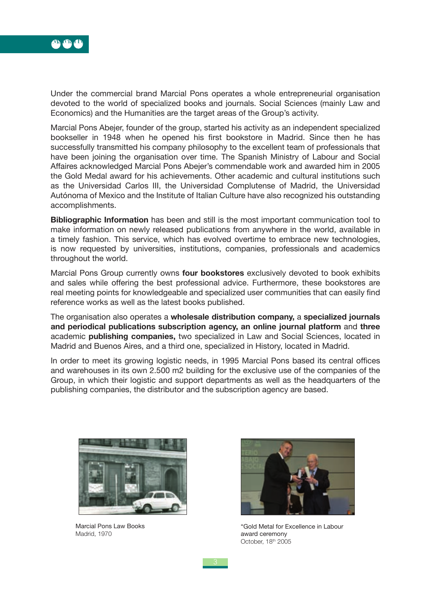

Under the commercial brand Marcial Pons operates a whole entrepreneurial organisation devoted to the world of specialized books and journals. Social Sciences (mainly Law and Economics) and the Humanities are the target areas of the Group's activity.

Marcial Pons Abejer, founder of the group, started his activity as an independent specialized bookseller in 1948 when he opened his first bookstore in Madrid. Since then he has successfully transmitted his company philosophy to the excellent team of professionals that have been joining the organisation over time. The Spanish Ministry of Labour and Social Affaires acknowledged Marcial Pons Abejer's commendable work and awarded him in 2005 the Gold Medal award for his achievements. Other academic and cultural institutions such as the Universidad Carlos III, the Universidad Complutense of Madrid, the Universidad Autónoma of Mexico and the Institute of Italian Culture have also recognized his outstanding accomplishments.

**Bibliographic Information** has been and still is the most important communication tool to make information on newly released publications from anywhere in the world, available in a timely fashion. This service, which has evolved overtime to embrace new technologies, is now requested by universities, institutions, companies, professionals and academics throughout the world.

Marcial Pons Group currently owns **four bookstores** exclusively devoted to book exhibits and sales while offering the best professional advice. Furthermore, these bookstores are real meeting points for knowledgeable and specialized user communities that can easily find reference works as well as the latest books published.

The organisation also operates a **wholesale distribution company,** a **specialized journals and periodical publications subscription agency, an online journal platform** and **three**  academic **publishing companies,** two specialized in Law and Social Sciences, located in Madrid and Buenos Aires, and a third one, specialized in History, located in Madrid.

In order to meet its growing logistic needs, in 1995 Marcial Pons based its central offices and warehouses in its own 2.500 m2 building for the exclusive use of the companies of the Group, in which their logistic and support departments as well as the headquarters of the publishing companies, the distributor and the subscription agency are based.



Marcial Pons Law Books Madrid, 1970



"Gold Metal for Excellence in Labour award ceremony October, 18th 2005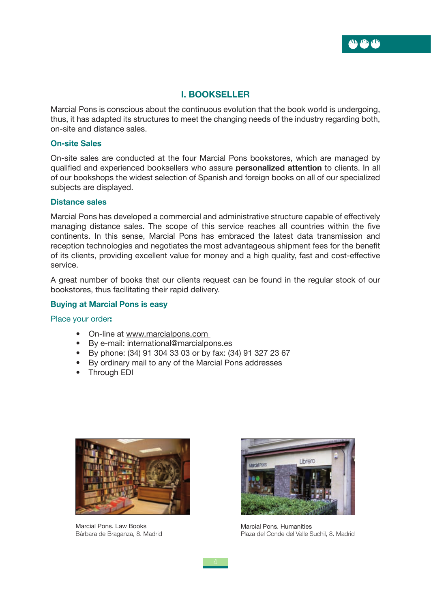

#### **I. BOOKSELLER**

Marcial Pons is conscious about the continuous evolution that the book world is undergoing, thus, it has adapted its structures to meet the changing needs of the industry regarding both, on-site and distance sales.

#### **On-site Sales**

On-site sales are conducted at the four Marcial Pons bookstores, which are managed by qualified and experienced booksellers who assure **personalized attention** to clients. In all of our bookshops the widest selection of Spanish and foreign books on all of our specialized subjects are displayed.

#### **Distance sales**

Marcial Pons has developed a commercial and administrative structure capable of effectively managing distance sales. The scope of this service reaches all countries within the five continents. In this sense, Marcial Pons has embraced the latest data transmission and reception technologies and negotiates the most advantageous shipment fees for the benefit of its clients, providing excellent value for money and a high quality, fast and cost-effective service.

A great number of books that our clients request can be found in the regular stock of our bookstores, thus facilitating their rapid delivery.

#### **Buying at Marcial Pons is easy**

#### Place your order**:**

- On-line at www.marcialpons.com
- By e-mail: international@marcialpons.es
- By phone: (34) 91 304 33 03 or by fax: (34) 91 327 23 67
- By ordinary mail to any of the Marcial Pons addresses
- Through EDI



Marcial Pons. Law Books Bárbara de Braganza, 8. Madrid



Marcial Pons. Humanities Plaza del Conde del Valle Suchil, 8. Madrid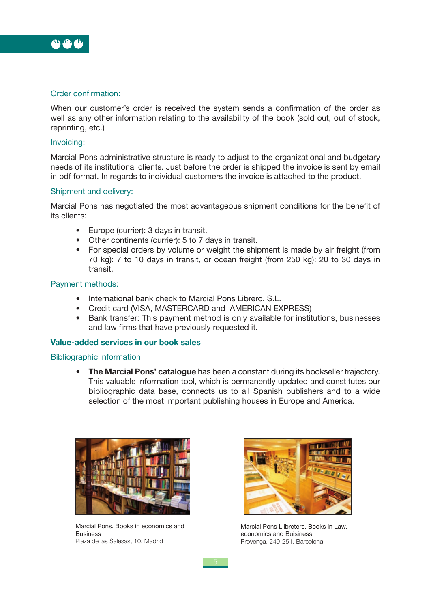

#### Order confirmation:

When our customer's order is received the system sends a confirmation of the order as well as any other information relating to the availability of the book (sold out, out of stock, reprinting, etc.)

#### Invoicing:

Marcial Pons administrative structure is ready to adjust to the organizational and budgetary needs of its institutional clients. Just before the order is shipped the invoice is sent by email in pdf format. In regards to individual customers the invoice is attached to the product.

#### Shipment and delivery:

Marcial Pons has negotiated the most advantageous shipment conditions for the benefit of its clients:

- Europe (currier): 3 days in transit.
- Other continents (currier): 5 to 7 days in transit.
- For special orders by volume or weight the shipment is made by air freight (from 70 kg): 7 to 10 days in transit, or ocean freight (from 250 kg): 20 to 30 days in transit.

#### Payment methods:

- International bank check to Marcial Pons Librero, S.L.
- Credit card (VISA, MASTERCARD and AMERICAN EXPRESS)
- Bank transfer: This payment method is only available for institutions, businesses and law firms that have previously requested it.

#### **Value-added services in our book sales**

#### Bibliographic information

**• The Marcial Pons' catalogue** has been a constant during its bookseller trajectory. This valuable information tool, which is permanently updated and constitutes our bibliographic data base, connects us to all Spanish publishers and to a wide selection of the most important publishing houses in Europe and America.



Marcial Pons. Books in economics and Business Plaza de las Salesas, 10. Madrid



Marcial Pons Llibreters. Books in Law, economics and Buisiness Provença, 249-251. Barcelona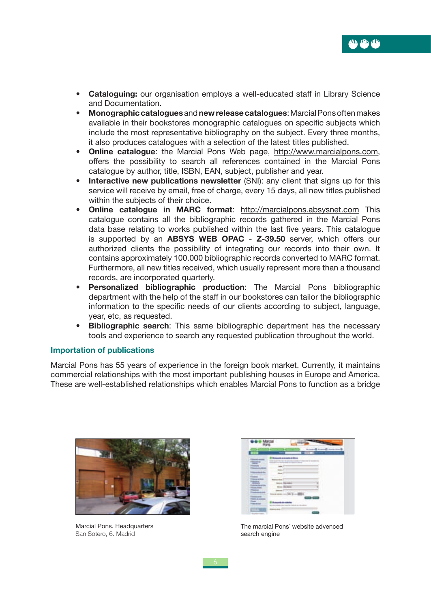

- **• Cataloguing:** our organisation employs a well-educated staff in Library Science and Documentation.
- **Monographic catalogues** and **new release catalogues**: Marcial Pons often makes available in their bookstores monographic catalogues on specific subjects which include the most representative bibliography on the subject. Every three months, it also produces catalogues with a selection of the latest titles published.
- **Online catalogue**: the Marcial Pons Web page, http://www.marcialpons.com, offers the possibility to search all references contained in the Marcial Pons catalogue by author, title, ISBN, EAN, subject, publisher and year.
- **Interactive new publications newsletter** (SNI): any client that signs up for this service will receive by email, free of charge, every 15 days, all new titles published within the subjects of their choice.
- **Online catalogue in MARC format:** http://marcialpons.absysnet.com This catalogue contains all the bibliographic records gathered in the Marcial Pons data base relating to works published within the last five years. This catalogue is supported by an **ABSYS WEB OPAC** - **Z-39.50** server, which offers our authorized clients the possibility of integrating our records into their own. It contains approximately 100.000 bibliographic records converted to MARC format. Furthermore, all new titles received, which usually represent more than a thousand records, are incorporated quarterly.
- **• Personalized bibliographic production**: The Marcial Pons bibliographic department with the help of the staff in our bookstores can tailor the bibliographic information to the specific needs of our clients according to subject, language, year, etc, as requested.
- **• Bibliographic search**: This same bibliographic department has the necessary tools and experience to search any requested publication throughout the world.

#### **Importation of publications**

Marcial Pons has 55 years of experience in the foreign book market. Currently, it maintains commercial relationships with the most important publishing houses in Europe and America. These are well-established relationships which enables Marcial Pons to function as a bridge



Marcial Pons. Headquarters San Sotero, 6. Madrid



The marcial Pons´ website advenced search engine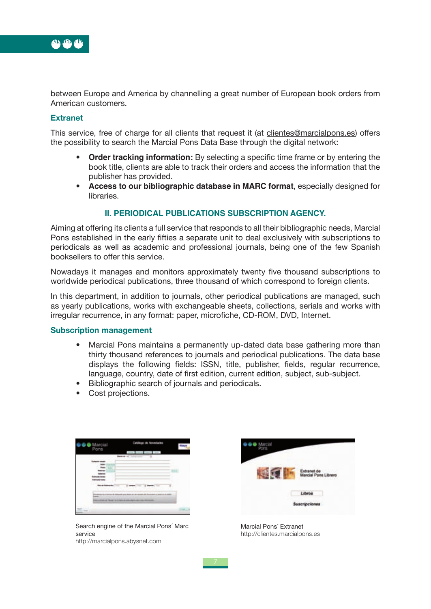

between Europe and America by channelling a great number of European book orders from American customers.

#### **Extranet**

This service, free of charge for all clients that request it (at clientes@marcialpons.es) offers the possibility to search the Marcial Pons Data Base through the digital network:

- **Order tracking information:** By selecting a specific time frame or by entering the book title, clients are able to track their orders and access the information that the publisher has provided.
- **Access to our bibliographic database in MARC format**, especially designed for libraries.

#### **II. PERIODICAL PUBLICATIONS SUBSCRIPTION AGENCY.**

Aiming at offering its clients a full service that responds to all their bibliographic needs, Marcial Pons established in the early fifties a separate unit to deal exclusively with subscriptions to periodicals as well as academic and professional journals, being one of the few Spanish booksellers to offer this service.

Nowadays it manages and monitors approximately twenty five thousand subscriptions to worldwide periodical publications, three thousand of which correspond to foreign clients.

In this department, in addition to journals, other periodical publications are managed, such as yearly publications, works with exchangeable sheets, collections, serials and works with irregular recurrence, in any format: paper, microfiche, CD-ROM, DVD, Internet.

#### **Subscription management**

- Marcial Pons maintains a permanently up-dated data base gathering more than thirty thousand references to journals and periodical publications. The data base displays the following fields: ISSN, title, publisher, fields, regular recurrence, language, country, date of first edition, current edition, subject, sub-subject.
- Bibliographic search of journals and periodicals.
- Cost projections.



Search engine of the Marcial Pons´ Marc service http://marcialpons.abysnet.com



Marcial Pons´ Extranet http://clientes.marcialpons.es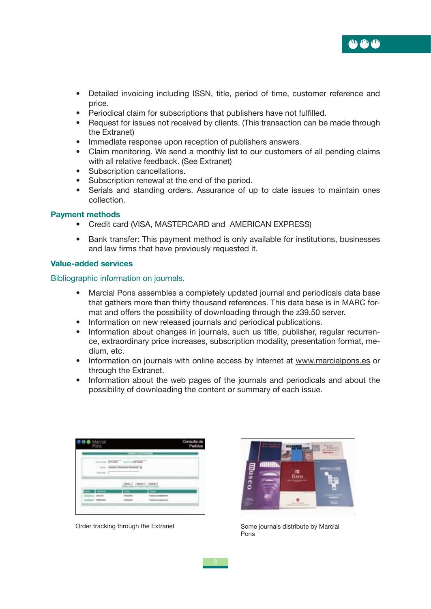

- Detailed invoicing including ISSN, title, period of time, customer reference and price.
- Periodical claim for subscriptions that publishers have not fulfilled.
- Request for issues not received by clients. (This transaction can be made through the Extranet)
- Immediate response upon reception of publishers answers.
- Claim monitoring. We send a monthly list to our customers of all pending claims with all relative feedback. (See Extranet)
- Subscription cancellations.
- Subscription renewal at the end of the period.
- Serials and standing orders. Assurance of up to date issues to maintain ones collection.

#### **Payment methods**

- Credit card (VISA, MASTERCARD and AMERICAN EXPRESS)
- Bank transfer: This payment method is only available for institutions, businesses and law firms that have previously requested it.

#### **Value-added services**

#### Bibliographic information on journals.

- Marcial Pons assembles a completely updated journal and periodicals data base that gathers more than thirty thousand references. This data base is in MARC format and offers the possibility of downloading through the z39.50 server.
- Information on new released journals and periodical publications.
- Information about changes in journals, such us title, publisher, regular recurrence, extraordinary price increases, subscription modality, presentation format, medium, etc.
- Information on journals with online access by Internet at www.marcialpons.es or through the Extranet.
- Information about the web pages of the journals and periodicals and about the possibility of downloading the content or summary of each issue.



Order tracking through the Extranet Some journals distribute by Marcial



Pons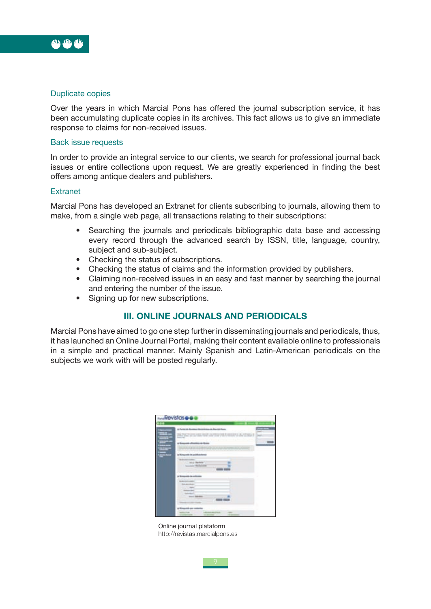

#### Duplicate copies

Over the years in which Marcial Pons has offered the journal subscription service, it has been accumulating duplicate copies in its archives. This fact allows us to give an immediate response to claims for non-received issues.

#### Back issue requests

In order to provide an integral service to our clients, we search for professional journal back issues or entire collections upon request. We are greatly experienced in finding the best offers among antique dealers and publishers.

#### Extranet

Marcial Pons has developed an Extranet for clients subscribing to journals, allowing them to make, from a single web page, all transactions relating to their subscriptions:

- Searching the journals and periodicals bibliographic data base and accessing every record through the advanced search by ISSN, title, language, country, subject and sub-subject.
- Checking the status of subscriptions.
- Checking the status of claims and the information provided by publishers.
- Claiming non-received issues in an easy and fast manner by searching the journal and entering the number of the issue.
- Signing up for new subscriptions.

#### **III. ONLINE JOURNALS AND PERIODICALS**

Marcial Pons have aimed to go one step further in disseminating journals and periodicals, thus, it has launched an Online Journal Portal, making their content available online to professionals in a simple and practical manner. Mainly Spanish and Latin-American periodicals on the subjects we work with will be posted regularly.

|                                                                                 | go Prachad alla Algorithman Pittschrift Algorithman den Pittschrift Prisons |                                                                                                       |  |
|---------------------------------------------------------------------------------|-----------------------------------------------------------------------------|-------------------------------------------------------------------------------------------------------|--|
| Senior Service<br>75.00                                                         |                                                                             | they thing through the company of the company of the company of the company of the political party of |  |
| v.<br>a ti                                                                      | There are the ar-                                                           |                                                                                                       |  |
|                                                                                 |                                                                             |                                                                                                       |  |
| in Bicingcook de politicistante                                                 |                                                                             |                                                                                                       |  |
| ----                                                                            |                                                                             |                                                                                                       |  |
| - Anna Warrante -<br><b>Charles Corp.</b><br><b>Scott College The Secretary</b> |                                                                             |                                                                                                       |  |
|                                                                                 | <b>STATISTICS</b><br>$-$                                                    |                                                                                                       |  |
| a bizanyezh de artistike                                                        |                                                                             |                                                                                                       |  |
| <b>Carl State Avenue</b><br><b>MARINE RESERVE</b>                               |                                                                             |                                                                                                       |  |
| <b>SAMPAGE</b><br><b>COLLEGE</b>                                                |                                                                             |                                                                                                       |  |
| <b>COLLANS</b><br><b>Scientists</b>                                             |                                                                             |                                                                                                       |  |
| - time the entry                                                                |                                                                             |                                                                                                       |  |
|                                                                                 |                                                                             |                                                                                                       |  |
| andels are restories                                                            |                                                                             |                                                                                                       |  |

Online journal plataform http://revistas.marcialpons.es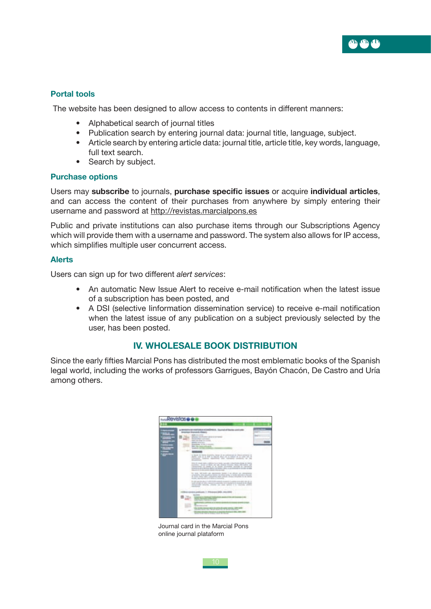

#### **Portal tools**

The website has been designed to allow access to contents in different manners:

- Alphabetical search of journal titles
- Publication search by entering journal data: journal title, language, subject.
- Article search by entering article data: journal title, article title, key words, language, full text search.
- Search by subject.

#### **Purchase options**

Users may **subscribe** to journals, **purchase specific issues** or acquire **individual articles**, and can access the content of their purchases from anywhere by simply entering their username and password at http://revistas.marcialpons.es

Public and private institutions can also purchase items through our Subscriptions Agency which will provide them with a username and password. The system also allows for IP access, which simplifies multiple user concurrent access.

#### **Alerts**

Users can sign up for two different *alert services*:

- An automatic New Issue Alert to receive e-mail notification when the latest issue of a subscription has been posted, and
- A DSI (selective Iinformation dissemination service) to receive e-mail notification when the latest issue of any publication on a subject previously selected by the user, has been posted.

#### **IV. WHOLESALE BOOK DISTRIBUTION**

Since the early fifties Marcial Pons has distributed the most emblematic books of the Spanish legal world, including the works of professors Garrigues, Bayón Chacón, De Castro and Uría among others.



Journal card in the Marcial Pons online journal plataform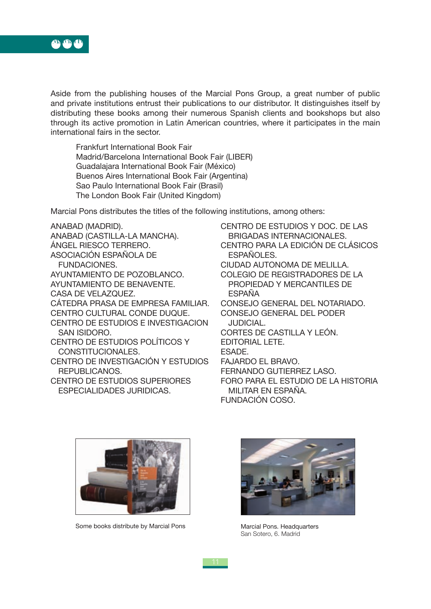

Aside from the publishing houses of the Marcial Pons Group, a great number of public and private institutions entrust their publications to our distributor. It distinguishes itself by distributing these books among their numerous Spanish clients and bookshops but also through its active promotion in Latin American countries, where it participates in the main international fairs in the sector.

Frankfurt International Book Fair Madrid/Barcelona International Book Fair (LIBER) Guadalajara International Book Fair (México) Buenos Aires International Book Fair (Argentina) Sao Paulo International Book Fair (Brasil) The London Book Fair (United Kingdom)

Marcial Pons distributes the titles of the following institutions, among others:

ANABAD (MADRID). ANABAD (CASTILLA-LA MANCHA). ÁNGEL RIESCO TERRERO. ASOCIACIÓN ESPAÑOLA DE FUNDACIONES. AYUNTAMIENTO DE POZOBLANCO. AYUNTAMIENTO DE BENAVENTE. CASA DE VELAZQUEZ. CÁTEDRA PRASA DE EMPRESA FAMILIAR. CENTRO CULTURAL CONDE DUQUE. CENTRO DE ESTUDIOS E INVESTIGACION SAN ISIDORO. CENTRO DE ESTUDIOS POLÍTICOS Y CONSTITUCIONALES. CENTRO DE INVESTIGACIÓN Y ESTUDIOS REPUBLICANOS. CENTRO DE ESTUDIOS SUPERIORES ESPECIALIDADES JURIDICAS.

CENTRO DE ESTUDIOS Y DOC. DE LAS BRIGADAS INTERNACIONALES. CENTRO PARA LA EDICIÓN DE CLÁSICOS ESPAÑOLES. CIUDAD AUTONOMA DE MELILLA. COLEGIO DE REGISTRADORES DE LA PROPIEDAD Y MERCANTILES DE ESPAÑA CONSEJO GENERAL DEL NOTARIADO. CONSEJO GENERAL DEL PODER JUDICIAL. CORTES DE CASTILLA Y LEÓN. EDITORIAL LETE. ESADE. FAJARDO EL BRAVO. FERNANDO GUTIERREZ LASO. FORO PARA EL ESTUDIO DE LA HISTORIA MILITAR EN ESPAÑA. FUNDACIÓN COSO.



Some books distribute by Marcial Pons Marcial Pons. Headquarters



San Sotero, 6. Madrid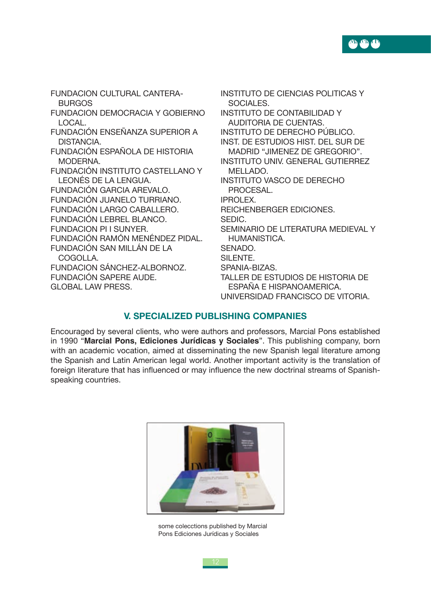

FUNDACION CULTURAL CANTERA-BURGOS FUNDACION DEMOCRACIA Y GOBIERNO LOCAL. FUNDACIÓN ENSEÑANZA SUPERIOR A **DISTANCIA** FUNDACIÓN ESPAÑOLA DE HISTORIA MODERNA. FUNDACIÓN INSTITUTO CASTELLANO Y LEONÉS DE LA LENGUA. FUNDACIÓN GARCIA AREVALO. FUNDACIÓN JUANELO TURRIANO. FUNDACIÓN LARGO CABALLERO. FUNDACIÓN LEBREL BLANCO. FUNDACION PI I SUNYER. FUNDACIÓN RAMÓN MENÉNDEZ PIDAL. FUNDACIÓN SAN MILLÁN DE LA COGOLLA. FUNDACION SÁNCHEZ-ALBORNOZ. FUNDACIÓN SAPERE AUDE. GLOBAL LAW PRESS.

INSTITUTO DE CIENCIAS POLITICAS Y SOCIALES. INSTITUTO DE CONTABILIDAD Y AUDITORIA DE CUENTAS. INSTITUTO DE DERECHO PÚBLICO. INST. DE ESTUDIOS HIST. DEL SUR DE MADRID "JIMENEZ DE GREGORIO". INSTITUTO UNIV. GENERAL GUTIERREZ MELLADO. INSTITUTO VASCO DE DERECHO PROCESAL. IPROLEX. REICHENBERGER EDICIONES. SEDIC. SEMINARIO DE LITERATURA MEDIEVAL Y HUMANISTICA. SENADO. SILENTE. SPANIA-BIZAS. TALLER DE ESTUDIOS DE HISTORIA DE ESPAÑA E HISPANOAMERICA. UNIVERSIDAD FRANCISCO DE VITORIA.

#### **V. SPECIALIZED PUBLISHING COMPANIES**

Encouraged by several clients, who were authors and professors, Marcial Pons established in 1990 "**Marcial Pons, Ediciones Jurídicas y Sociales**". This publishing company, born with an academic vocation, aimed at disseminating the new Spanish legal literature among the Spanish and Latin American legal world. Another important activity is the translation of foreign literature that has influenced or may influence the new doctrinal streams of Spanishspeaking countries.



some colecctions published by Marcial Pons Ediciones Jurídicas y Sociales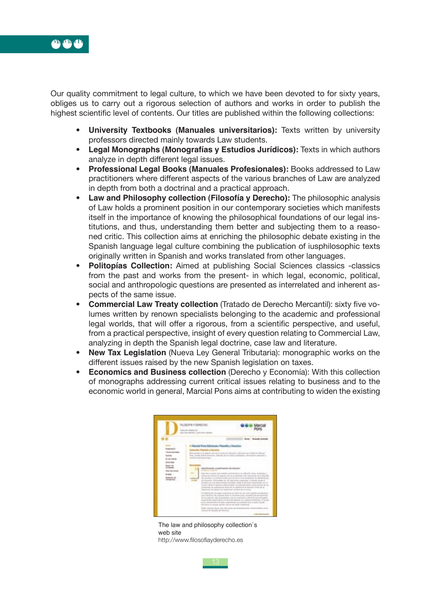

Our quality commitment to legal culture, to which we have been devoted to for sixty years, obliges us to carry out a rigorous selection of authors and works in order to publish the highest scientific level of contents. Our titles are published within the following collections:

- **University Textbooks (Manuales universitarios):** Texts written by university professors directed mainly towards Law students.
- **Legal Monographs (Monografías y Estudios Jurídicos):** Texts in which authors analyze in depth different legal issues.
- **Professional Legal Books (Manuales Profesionales):** Books addressed to Law practitioners where different aspects of the various branches of Law are analyzed in depth from both a doctrinal and a practical approach.
- **Law and Philosophy collection (Filosofía y Derecho):** The philosophic analysis of Law holds a prominent position in our contemporary societies which manifests itself in the importance of knowing the philosophical foundations of our legal institutions, and thus, understanding them better and subjecting them to a reasoned critic. This collection aims at enriching the philosophic debate existing in the Spanish language legal culture combining the publication of iusphilosophic texts originally written in Spanish and works translated from other languages.
- **Politopías Collection:** Aimed at publishing Social Sciences classics -classics from the past and works from the present- in which legal, economic, political, social and anthropologic questions are presented as interrelated and inherent aspects of the same issue.
- **Commercial Law Treaty collection** (Tratado de Derecho Mercantil): sixty five volumes written by renown specialists belonging to the academic and professional legal worlds, that will offer a rigorous, from a scientific perspective, and useful, from a practical perspective, insight of every question relating to Commercial Law, analyzing in depth the Spanish legal doctrine, case law and literature.
- **New Tax Legislation** (Nueva Ley General Tributaria): monographic works on the different issues raised by the new Spanish legislation on taxes.
- **Economics and Business collection** (Derecho y Economía): With this collection of monographs addressing current critical issues relating to business and to the economic world in general, Marcial Pons aims at contributing to widen the existing



The law and philosophy collection´s web site http://www.filosofiayderecho.es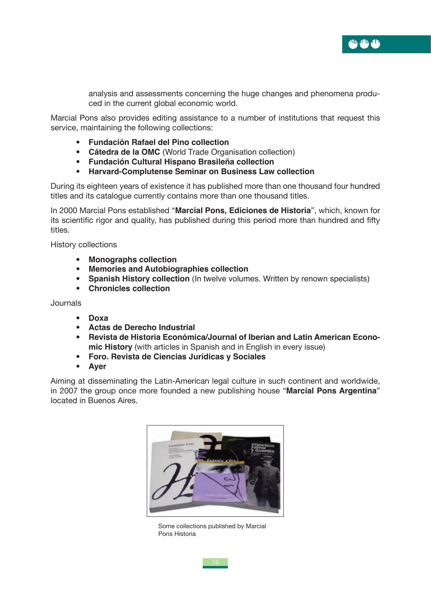

analysis and assessments concerning the huge changes and phenomena produced in the current global economic world.

Marcial Pons also provides editing assistance to a number of institutions that request this service, maintaining the following collections:

- **Fundación Rafael del Pino collection**
- **Cátedra de la OMC** (World Trade Organisation collection)
- **Fundación Cultural Hispano Brasileña collection**
- **Harvard-Complutense Seminar on Business Law collection**

During its eighteen years of existence it has published more than one thousand four hundred titles and its catalogue currently contains more than one thousand titles.

In 2000 Marcial Pons established "**Marcial Pons, Ediciones de Historia**", which, known for its scientific rigor and quality, has published during this period more than hundred and fifty titles.

History collections

- **Monographs collection**
- **Memories and Autobiographies collection**
- **Spanish History collection** (In twelve volumes. Written by renown specialists)
- **Chronicles collection**

Journals

- **Doxa**
- **Actas de Derecho Industrial**
- **Revista de Historia Económica/Journal of Iberian and Latin American Economic History** (with articles in Spanish and in English in every issue)
- **Foro. Revista de Ciencias Jurídicas y Sociales**
- **Ayer**

Aiming at disseminating the Latin-American legal culture in such continent and worldwide, in 2007 the group once more founded a new publishing house "**Marcial Pons Argentina**" located in Buenos Aires.



Some collections published by Marcial Pons Historia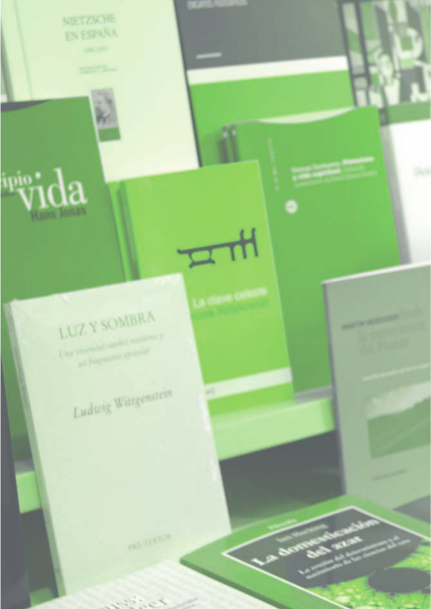